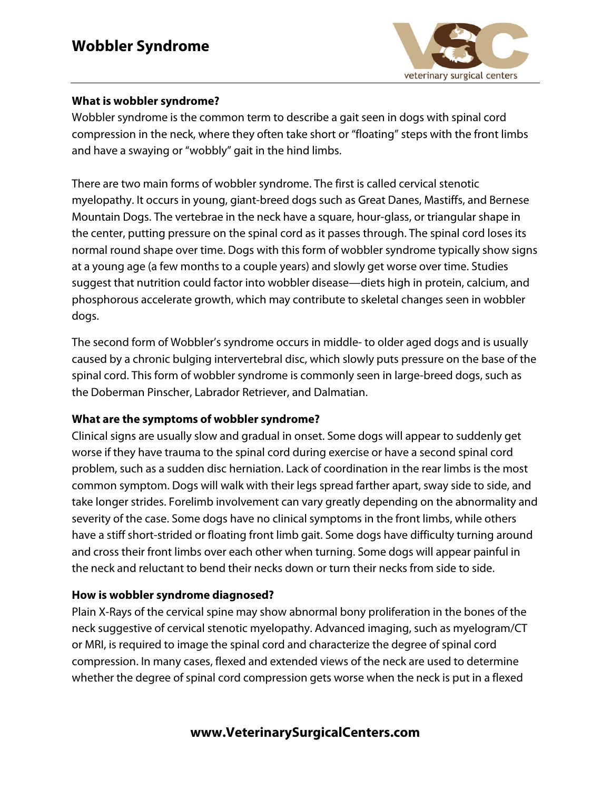

### **What is wobbler syndrome?**

Wobbler syndrome is the common term to describe a gait seen in dogs with spinal cord compression in the neck, where they often take short or "floating" steps with the front limbs and have a swaying or "wobbly" gait in the hind limbs.

There are two main forms of wobbler syndrome. The first is called cervical stenotic myelopathy. It occurs in young, giant-breed dogs such as Great Danes, Mastiffs, and Bernese Mountain Dogs. The vertebrae in the neck have a square, hour-glass, or triangular shape in the center, putting pressure on the spinal cord as it passes through. The spinal cord loses its normal round shape over time. Dogs with this form of wobbler syndrome typically show signs at a young age (a few months to a couple years) and slowly get worse over time. Studies suggest that nutrition could factor into wobbler disease—diets high in protein, calcium, and phosphorous accelerate growth, which may contribute to skeletal changes seen in wobbler dogs.

The second form of Wobbler's syndrome occurs in middle- to older aged dogs and is usually caused by a chronic bulging intervertebral disc, which slowly puts pressure on the base of the spinal cord. This form of wobbler syndrome is commonly seen in large-breed dogs, such as the Doberman Pinscher, Labrador Retriever, and Dalmatian.

### **What are the symptoms of wobbler syndrome?**

Clinical signs are usually slow and gradual in onset. Some dogs will appear to suddenly get worse if they have trauma to the spinal cord during exercise or have a second spinal cord problem, such as a sudden disc herniation. Lack of coordination in the rear limbs is the most common symptom. Dogs will walk with their legs spread farther apart, sway side to side, and take longer strides. Forelimb involvement can vary greatly depending on the abnormality and severity of the case. Some dogs have no clinical symptoms in the front limbs, while others have a stiff short-strided or floating front limb gait. Some dogs have difficulty turning around and cross their front limbs over each other when turning. Some dogs will appear painful in the neck and reluctant to bend their necks down or turn their necks from side to side.

### **How is wobbler syndrome diagnosed?**

Plain X-Rays of the cervical spine may show abnormal bony proliferation in the bones of the neck suggestive of cervical stenotic myelopathy. Advanced imaging, such as myelogram/CT or MRI, is required to image the spinal cord and characterize the degree of spinal cord compression. In many cases, flexed and extended views of the neck are used to determine whether the degree of spinal cord compression gets worse when the neck is put in a flexed